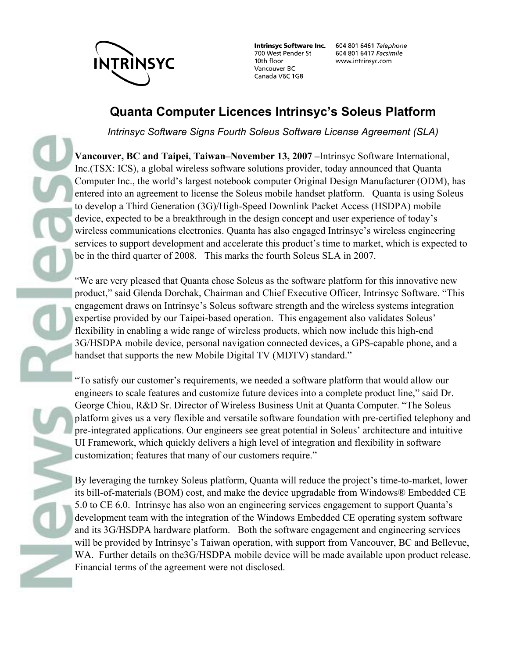

**Intrinsyc Software Inc.** 700 West Pender St 10th floor Vancouver BC Canada V6C 1G8

604 801 6461 Telephone 604 801 6417 Facsimile www.intrinsyc.com

# **Quanta Computer Licences Intrinsyc's Soleus Platform**

*Intrinsyc Software Signs Fourth Soleus Software License Agreement (SLA)*

**Vancouver, BC and Taipei, Taiwan–November 13, 2007 –**Intrinsyc Software International, Inc.(TSX: ICS), a global wireless software solutions provider, today announced that Quanta Computer Inc., the world's largest notebook computer Original Design Manufacturer (ODM), has entered into an agreement to license the Soleus mobile handset platform. Quanta is using Soleus to develop a Third Generation (3G)/High-Speed Downlink Packet Access (HSDPA) mobile device, expected to be a breakthrough in the design concept and user experience of today's wireless communications electronics. Quanta has also engaged Intrinsyc's wireless engineering services to support development and accelerate this product's time to market, which is expected to be in the third quarter of 2008. This marks the fourth Soleus SLA in 2007.

"We are very pleased that Quanta chose Soleus as the software platform for this innovative new product," said Glenda Dorchak, Chairman and Chief Executive Officer, Intrinsyc Software. "This engagement draws on Intrinsyc's Soleus software strength and the wireless systems integration expertise provided by our Taipei-based operation. This engagement also validates Soleus' flexibility in enabling a wide range of wireless products, which now include this high-end 3G/HSDPA mobile device, personal navigation connected devices, a GPS-capable phone, and a handset that supports the new Mobile Digital TV (MDTV) standard."

"To satisfy our customer's requirements, we needed a software platform that would allow our engineers to scale features and customize future devices into a complete product line," said Dr. George Chiou, R&D Sr. Director of Wireless Business Unit at Quanta Computer. "The Soleus platform gives us a very flexible and versatile software foundation with pre-certified telephony and pre-integrated applications. Our engineers see great potential in Soleus' architecture and intuitive UI Framework, which quickly delivers a high level of integration and flexibility in software customization; features that many of our customers require."

By leveraging the turnkey Soleus platform, Quanta will reduce the project's time-to-market, lower its bill-of-materials (BOM) cost, and make the device upgradable from Windows® Embedded CE 5.0 to CE 6.0. Intrinsyc has also won an engineering services engagement to support Quanta's development team with the integration of the Windows Embedded CE operating system software and its 3G/HSDPA hardware platform. Both the software engagement and engineering services will be provided by Intrinsyc's Taiwan operation, with support from Vancouver, BC and Bellevue, WA. Further details on the 3G/HSDPA mobile device will be made available upon product release. Financial terms of the agreement were not disclosed.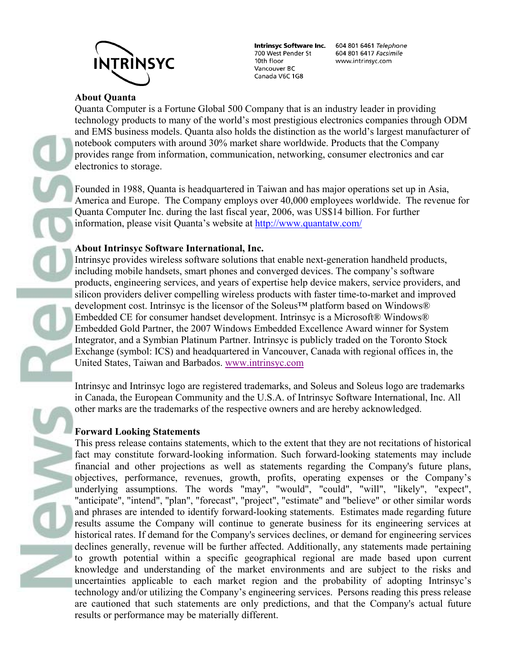

700 West Pender St 10th floor Vancouver BC Canada V6C 1G8

Intrinsyc Software Inc. 604 801 6461 Telephone 604 801 6417 Facsimile www.intrinsyc.com

#### **About Quanta**

Quanta Computer is a Fortune Global 500 Company that is an industry leader in providing technology products to many of the world's most prestigious electronics companies through ODM and EMS business models. Quanta also holds the distinction as the world's largest manufacturer of notebook computers with around 30% market share worldwide. Products that the Company provides range from information, communication, networking, consumer electronics and car electronics to storage.

Founded in 1988, Quanta is headquartered in Taiwan and has major operations set up in Asia, America and Europe. The Company employs over 40,000 employees worldwide. The revenue for Quanta Computer Inc. during the last fiscal year, 2006, was US\$14 billion. For further information, please visit Quanta's website at http://www.quantatw.com/

### **About Intrinsyc Software International, Inc.**

Intrinsyc provides wireless software solutions that enable next-generation handheld products, including mobile handsets, smart phones and converged devices. The company's software products, engineering services, and years of expertise help device makers, service providers, and silicon providers deliver compelling wireless products with faster time-to-market and improved development cost. Intrinsyc is the licensor of the Soleus™ platform based on Windows® Embedded CE for consumer handset development. Intrinsyc is a Microsoft® Windows® Embedded Gold Partner, the 2007 Windows Embedded Excellence Award winner for System Integrator, and a Symbian Platinum Partner. Intrinsyc is publicly traded on the Toronto Stock Exchange (symbol: ICS) and headquartered in Vancouver, Canada with regional offices in, the United States, Taiwan and Barbados. www.intrinsyc.com

Intrinsyc and Intrinsyc logo are registered trademarks, and Soleus and Soleus logo are trademarks in Canada, the European Community and the U.S.A. of Intrinsyc Software International, Inc. All other marks are the trademarks of the respective owners and are hereby acknowledged.

## **Forward Looking Statements**

This press release contains statements, which to the extent that they are not recitations of historical fact may constitute forward-looking information. Such forward-looking statements may include financial and other projections as well as statements regarding the Company's future plans, objectives, performance, revenues, growth, profits, operating expenses or the Company's underlying assumptions. The words "may", "would", "could", "will", "likely", "expect", "anticipate", "intend", "plan", "forecast", "project", "estimate" and "believe" or other similar words and phrases are intended to identify forward-looking statements. Estimates made regarding future results assume the Company will continue to generate business for its engineering services at historical rates. If demand for the Company's services declines, or demand for engineering services declines generally, revenue will be further affected. Additionally, any statements made pertaining to growth potential within a specific geographical regional are made based upon current knowledge and understanding of the market environments and are subject to the risks and uncertainties applicable to each market region and the probability of adopting Intrinsyc's technology and/or utilizing the Company's engineering services. Persons reading this press release are cautioned that such statements are only predictions, and that the Company's actual future results or performance may be materially different.